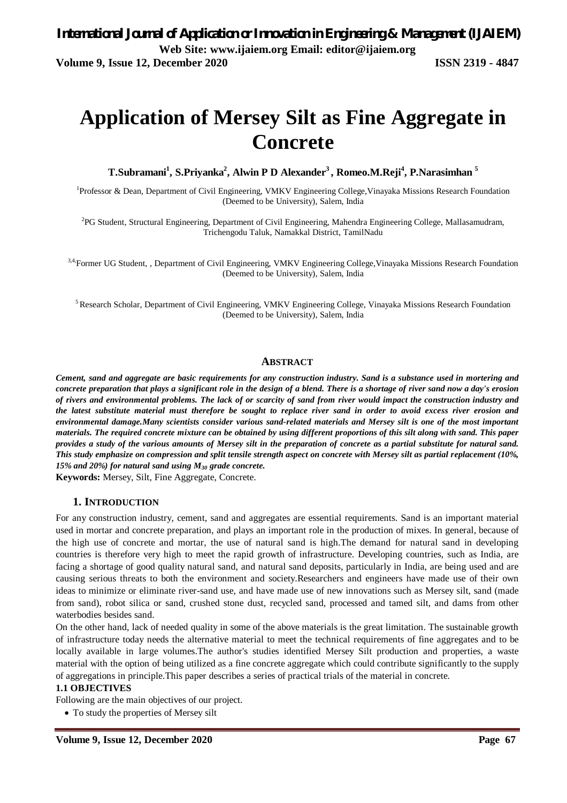# **Application of Mersey Silt as Fine Aggregate in Concrete**

**T.Subramani<sup>1</sup> , S.Priyanka<sup>2</sup> , Alwin P D Alexander<sup>3</sup>, Romeo.M.Reji<sup>4</sup> , P.Narasimhan <sup>5</sup>**

<sup>1</sup>Professor & Dean, Department of Civil Engineering, VMKV Engineering College, Vinayaka Missions Research Foundation (Deemed to be University), Salem, India

<sup>2</sup>PG Student, Structural Engineering, Department of Civil Engineering, Mahendra Engineering College, Mallasamudram, Trichengodu Taluk, Namakkal District, TamilNadu

<sup>3,4,</sup>Former UG Student, , Department of Civil Engineering, VMKV Engineering College, Vinayaka Missions Research Foundation (Deemed to be University), Salem, India

<sup>5</sup>Research Scholar, Department of Civil Engineering, VMKV Engineering College, Vinayaka Missions Research Foundation (Deemed to be University), Salem, India

### **ABSTRACT**

*Cement, sand and aggregate are basic requirements for any construction industry. Sand is a substance used in mortering and concrete preparation that plays a significant role in the design of a blend. There is a shortage of river sand now a day's erosion of rivers and environmental problems. The lack of or scarcity of sand from river would impact the construction industry and the latest substitute material must therefore be sought to replace river sand in order to avoid excess river erosion and environmental damage.Many scientists consider various sand-related materials and Mersey silt is one of the most important materials. The required concrete mixture can be obtained by using different proportions of this silt along with sand. This paper provides a study of the various amounts of Mersey silt in the preparation of concrete as a partial substitute for natural sand. This study emphasize on compression and split tensile strength aspect on concrete with Mersey silt as partial replacement (10%, 15% and 20%) for natural sand using M<sup>30</sup> grade concrete.*

**Keywords:** Mersey, Silt, Fine Aggregate, Concrete.

### **1. INTRODUCTION**

For any construction industry, cement, sand and aggregates are essential requirements. Sand is an important material used in mortar and concrete preparation, and plays an important role in the production of mixes. In general, because of the high use of concrete and mortar, the use of natural sand is high.The demand for natural sand in developing countries is therefore very high to meet the rapid growth of infrastructure. Developing countries, such as India, are facing a shortage of good quality natural sand, and natural sand deposits, particularly in India, are being used and are causing serious threats to both the environment and society.Researchers and engineers have made use of their own ideas to minimize or eliminate river-sand use, and have made use of new innovations such as Mersey silt, sand (made from sand), robot silica or sand, crushed stone dust, recycled sand, processed and tamed silt, and dams from other waterbodies besides sand.

On the other hand, lack of needed quality in some of the above materials is the great limitation. The sustainable growth of infrastructure today needs the alternative material to meet the technical requirements of fine aggregates and to be locally available in large volumes.The author's studies identified Mersey Silt production and properties, a waste material with the option of being utilized as a fine concrete aggregate which could contribute significantly to the supply of aggregations in principle.This paper describes a series of practical trials of the material in concrete.

#### **1.1 OBJECTIVES**

Following are the main objectives of our project.

To study the properties of Mersey silt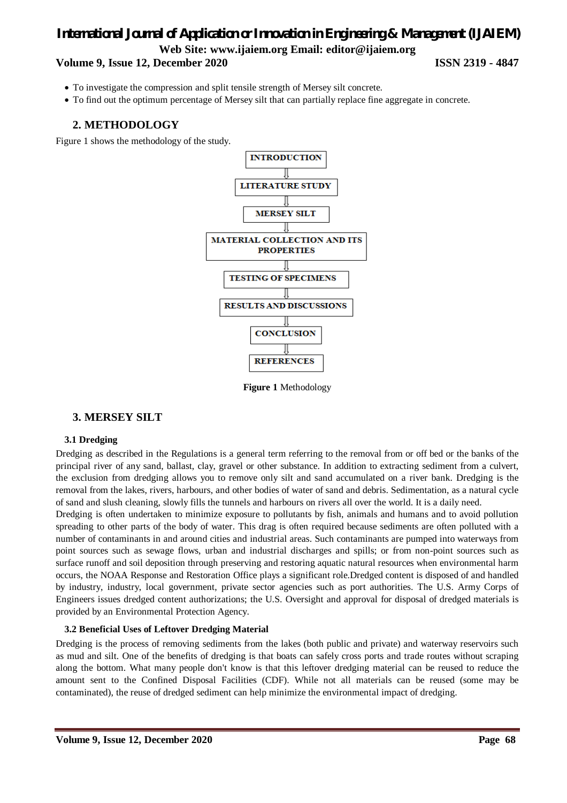### **Volume 9, Issue 12, December 2020 ISSN 2319 - 4847**

- To investigate the compression and split tensile strength of Mersey silt concrete.
- To find out the optimum percentage of Mersey silt that can partially replace fine aggregate in concrete.

### **2. METHODOLOGY**

Figure 1 shows the methodology of the study.



**Figure 1** Methodology

### **3. MERSEY SILT**

### **3.1 Dredging**

Dredging as described in the Regulations is a general term referring to the removal from or off bed or the banks of the principal river of any sand, ballast, clay, gravel or other substance. In addition to extracting sediment from a culvert, the exclusion from dredging allows you to remove only silt and sand accumulated on a river bank. Dredging is the removal from the lakes, rivers, harbours, and other bodies of water of sand and debris. Sedimentation, as a natural cycle of sand and slush cleaning, slowly fills the tunnels and harbours on rivers all over the world. It is a daily need.

Dredging is often undertaken to minimize exposure to pollutants by fish, animals and humans and to avoid pollution spreading to other parts of the body of water. This drag is often required because sediments are often polluted with a number of contaminants in and around cities and industrial areas. Such contaminants are pumped into waterways from point sources such as sewage flows, urban and industrial discharges and spills; or from non-point sources such as surface runoff and soil deposition through preserving and restoring aquatic natural resources when environmental harm occurs, the NOAA Response and Restoration Office plays a significant role.Dredged content is disposed of and handled by industry, industry, local government, private sector agencies such as port authorities. The U.S. Army Corps of Engineers issues dredged content authorizations; the U.S. Oversight and approval for disposal of dredged materials is provided by an Environmental Protection Agency.

### **3.2 Beneficial Uses of Leftover Dredging Material**

Dredging is the process of removing sediments from the lakes (both public and private) and waterway reservoirs such as mud and silt. One of the benefits of dredging is that boats can safely cross ports and trade routes without scraping along the bottom. What many people don't know is that this leftover dredging material can be reused to reduce the amount sent to the Confined Disposal Facilities (CDF). While not all materials can be reused (some may be contaminated), the reuse of dredged sediment can help minimize the environmental impact of dredging.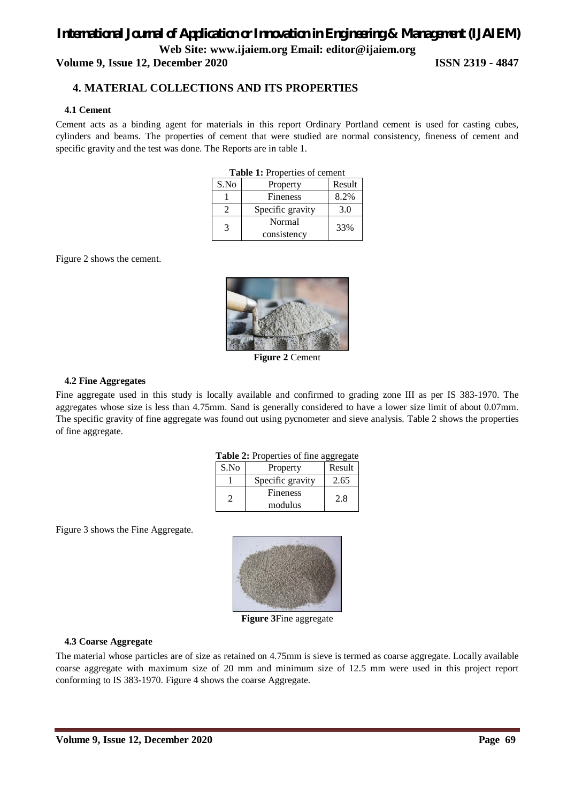# *International Journal of Application or Innovation in Engineering & Management (IJAIEM)* **Web Site: www.ijaiem.org Email: editor@ijaiem.org Volume 9, Issue 12, December 2020 ISSN 2319 - 4847**

### **4. MATERIAL COLLECTIONS AND ITS PROPERTIES**

### **4.1 Cement**

Cement acts as a binding agent for materials in this report Ordinary Portland cement is used for casting cubes, cylinders and beams. The properties of cement that were studied are normal consistency, fineness of cement and specific gravity and the test was done. The Reports are in table 1.

| <b>Table 1:</b> Properties of cement |                  |        |  |  |  |  |  |  |  |
|--------------------------------------|------------------|--------|--|--|--|--|--|--|--|
| S.No                                 | Property         | Result |  |  |  |  |  |  |  |
|                                      | <b>Fineness</b>  | 8.2%   |  |  |  |  |  |  |  |
|                                      | Specific gravity | 3.0    |  |  |  |  |  |  |  |
| $\mathcal{R}$                        | Normal           | 33%    |  |  |  |  |  |  |  |
|                                      | consistency      |        |  |  |  |  |  |  |  |

Figure 2 shows the cement.



**Figure 2** Cement

### **4.2 Fine Aggregates**

Fine aggregate used in this study is locally available and confirmed to grading zone III as per IS 383-1970. The aggregates whose size is less than 4.75mm. Sand is generally considered to have a lower size limit of about 0.07mm. The specific gravity of fine aggregate was found out using pycnometer and sieve analysis. Table 2 shows the properties of fine aggregate.

|  |  |  |  |  |  | Table 2: Properties of fine aggregate |
|--|--|--|--|--|--|---------------------------------------|
|--|--|--|--|--|--|---------------------------------------|

| Property         | Result  |
|------------------|---------|
| Specific gravity | 2.65    |
| Fineness         | 2.8     |
|                  | modulus |

Figure 3 shows the Fine Aggregate.



**Figure 3**Fine aggregate

### **4.3 Coarse Aggregate**

The material whose particles are of size as retained on 4.75mm is sieve is termed as coarse aggregate. Locally available coarse aggregate with maximum size of 20 mm and minimum size of 12.5 mm were used in this project report conforming to IS 383-1970. Figure 4 shows the coarse Aggregate.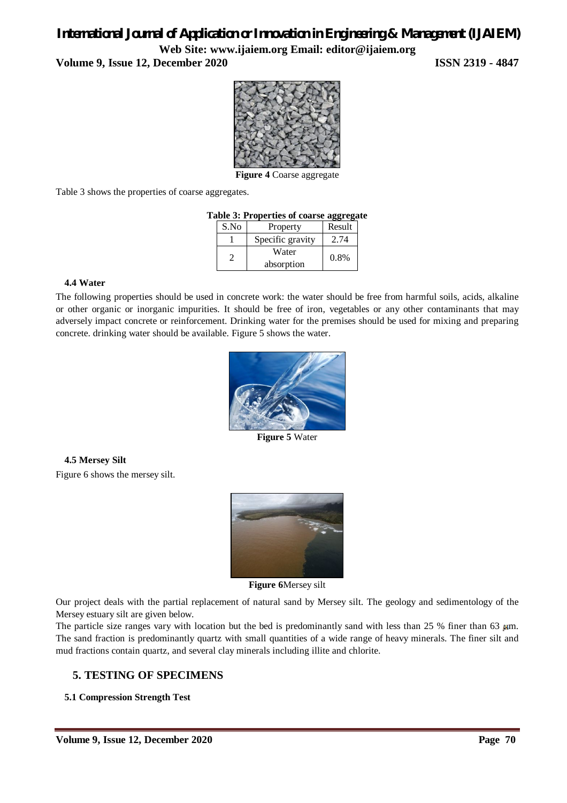**Volume 9, Issue 12, December 2020 ISSN 2319 - 4847**



**Figure 4** Coarse aggregate

Table 3 shows the properties of coarse aggregates.

|  |  |  |  |  |  | Table 3: Properties of coarse aggregate |
|--|--|--|--|--|--|-----------------------------------------|
|--|--|--|--|--|--|-----------------------------------------|

| S.No | Property         | Result |
|------|------------------|--------|
|      | Specific gravity | 2.74   |
|      | Water            | 0.8%   |
|      | absorption       |        |

### **4.4 Water**

The following properties should be used in concrete work: the water should be free from harmful soils, acids, alkaline or other organic or inorganic impurities. It should be free of iron, vegetables or any other contaminants that may adversely impact concrete or reinforcement. Drinking water for the premises should be used for mixing and preparing concrete. drinking water should be available. Figure 5 shows the water.



**Figure 5** Water

**4.5 Mersey Silt** Figure 6 shows the mersey silt.



**Figure 6**Mersey silt

Our project deals with the partial replacement of natural sand by Mersey silt. The geology and sedimentology of the Mersey estuary silt are given below.

The particle size ranges vary with location but the bed is predominantly sand with less than 25 % finer than 63  $\mu$ m. The sand fraction is predominantly quartz with small quantities of a wide range of heavy minerals. The finer silt and mud fractions contain quartz, and several clay minerals including illite and chlorite.

### **5. TESTING OF SPECIMENS**

### **5.1 Compression Strength Test**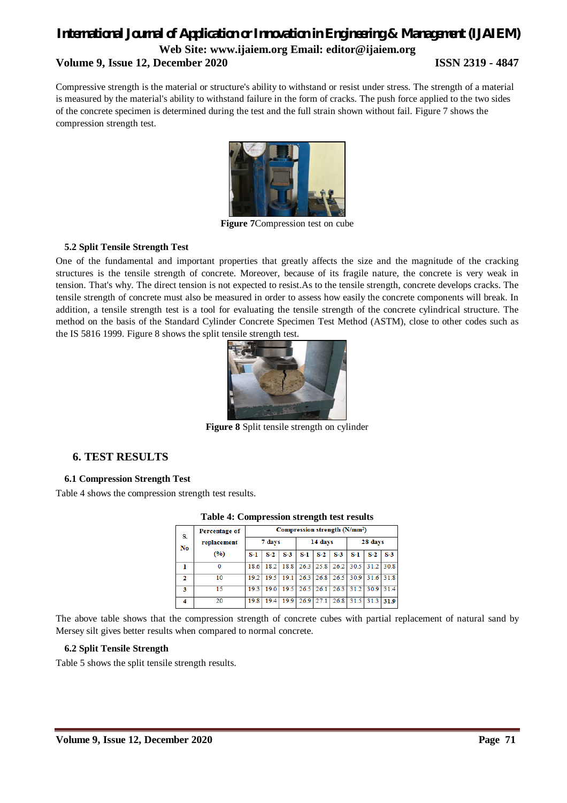### **Volume 9, Issue 12, December 2020 ISSN 2319 - 4847**

Compressive strength is the material or structure's ability to withstand or resist under stress. The strength of a material is measured by the material's ability to withstand failure in the form of cracks. The push force applied to the two sides of the concrete specimen is determined during the test and the full strain shown without fail. Figure 7 shows the compression strength test.



**Figure 7**Compression test on cube

### **5.2 Split Tensile Strength Test**

One of the fundamental and important properties that greatly affects the size and the magnitude of the cracking structures is the tensile strength of concrete. Moreover, because of its fragile nature, the concrete is very weak in tension. That's why. The direct tension is not expected to resist.As to the tensile strength, concrete develops cracks. The tensile strength of concrete must also be measured in order to assess how easily the concrete components will break. In addition, a tensile strength test is a tool for evaluating the tensile strength of the concrete cylindrical structure. The method on the basis of the Standard Cylinder Concrete Specimen Test Method (ASTM), close to other codes such as the IS 5816 1999. Figure 8 shows the split tensile strength test.



**Figure 8** Split tensile strength on cylinder

### **6. TEST RESULTS**

### **6.1 Compression Strength Test**

Table 4 shows the compression strength test results.

| S.<br>N <sub>0</sub> | Percentage of | Compression strength (N/mm <sup>2</sup> ) |       |                                                       |         |                   |       |         |       |           |
|----------------------|---------------|-------------------------------------------|-------|-------------------------------------------------------|---------|-------------------|-------|---------|-------|-----------|
|                      | replacement   | 7 days                                    |       |                                                       | 14 days |                   |       | 28 days |       |           |
|                      | (9/6)         | $S-1$                                     | $S-2$ | $S-3$                                                 | S-1     | $S-2$             | $S-3$ | $S-1$   | $S-2$ | $S-3$     |
|                      | 0             | 18.6                                      |       | 18.2   18.8   26.3   25.8   26.2   30.5   31.2   30.8 |         |                   |       |         |       |           |
| 2                    | 10            | 19.2                                      | 195   | 19.1                                                  |         | $26.3 \quad 26.8$ | 26.5  | 30.9    |       | 31.6 31.8 |
| 3                    | 15            | 19.3                                      | 190   | 19.5                                                  | 26.5    | 26.1              | 26.3  | 31.2    | 30.9  | 314       |
| 4                    | 20            | 19.8                                      | 194   | 199                                                   | 26.9    | 27.1              | 26.8  | 31.5    | 31.3  | 31.9      |

### **Table 4: Compression strength test results**

The above table shows that the compression strength of concrete cubes with partial replacement of natural sand by Mersey silt gives better results when compared to normal concrete.

### **6.2 Split Tensile Strength**

Table 5 shows the split tensile strength results.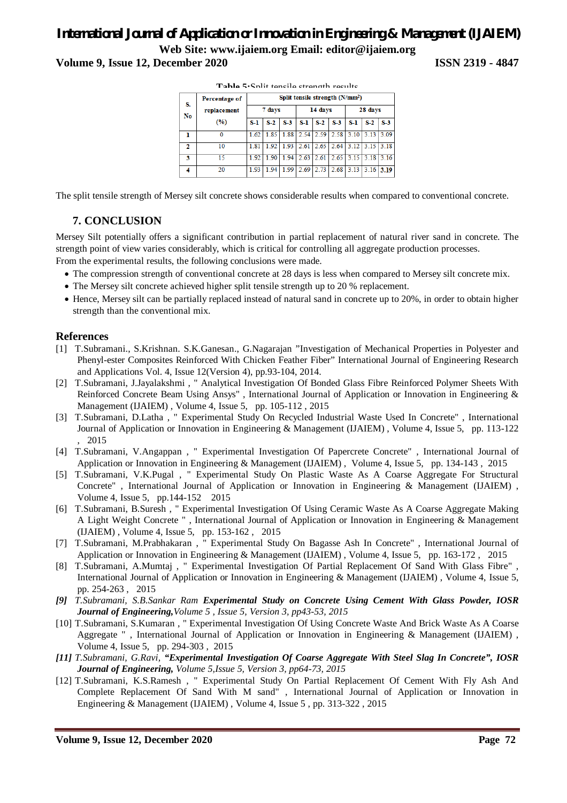# *International Journal of Application or Innovation in Engineering & Management (IJAIEM)* **Web Site: www.ijaiem.org Email: editor@ijaiem.org Volume 9, Issue 12, December 2020 ISSN 2319 - 4847**

| S.<br>No | <b>Percentage of</b> | Split tensile strength (N/mm <sup>2</sup> ) |        |       |         |       |       |         |             |       |  |
|----------|----------------------|---------------------------------------------|--------|-------|---------|-------|-------|---------|-------------|-------|--|
|          | replacement          |                                             | 7 days |       | 14 days |       |       | 28 days |             |       |  |
|          | (%)                  | S-1                                         | $S-2$  | $S-3$ | S-1     | $S-2$ | $S-3$ | $S-1$   | $S-2$       | $S-3$ |  |
| 1        | 0                    | 1.62                                        | 1.85   | 1.88  | 2.54    | 2.59  | 2.58  | 3.10    | 3.13        | 3.09  |  |
| 2        | 10                   | 1.81                                        | 1.92   | 1.93  | 2.61    | 2.65  | 2.64  | 3.12    | $3.15$ 3.18 |       |  |
| 3        | 15                   | 1.92                                        | 1 90   | 194   | 2.63    | 2.61  | 2.65  | 3.15    | 3.18        | 3.16  |  |
| 4        | 20                   | 1.93                                        | 1.94   | 1.99  | 2.69    | 2.73  | 2.68  | 3.13    | 3.16        | 3.19  |  |

**Table 5:**Split tensile strength results

The split tensile strength of Mersey silt concrete shows considerable results when compared to conventional concrete.

### **7. CONCLUSION**

Mersey Silt potentially offers a significant contribution in partial replacement of natural river sand in concrete. The strength point of view varies considerably, which is critical for controlling all aggregate production processes. From the experimental results, the following conclusions were made.

- The compression strength of conventional concrete at 28 days is less when compared to Mersey silt concrete mix.
- The Mersey silt concrete achieved higher split tensile strength up to 20 % replacement.
- Hence, Mersey silt can be partially replaced instead of natural sand in concrete up to 20%, in order to obtain higher strength than the conventional mix.

### **References**

- [1] T.Subramani., S.Krishnan. S.K.Ganesan., G.Nagarajan "Investigation of Mechanical Properties in Polyester and Phenyl-ester Composites Reinforced With Chicken Feather Fiber" International Journal of Engineering Research and Applications Vol. 4, Issue 12(Version 4), pp.93-104, 2014.
- [2] T.Subramani, J.Jayalakshmi , " Analytical Investigation Of Bonded Glass Fibre Reinforced Polymer Sheets With Reinforced Concrete Beam Using Ansys" , International Journal of Application or Innovation in Engineering & Management (IJAIEM) , Volume 4, Issue 5, pp. 105-112 , 2015
- [3] T.Subramani, D.Latha , " Experimental Study On Recycled Industrial Waste Used In Concrete" , International Journal of Application or Innovation in Engineering & Management (IJAIEM) , Volume 4, Issue 5, pp. 113-122 , 2015
- [4] T.Subramani, V.Angappan , " Experimental Investigation Of Papercrete Concrete" , International Journal of Application or Innovation in Engineering & Management (IJAIEM) , Volume 4, Issue 5, pp. 134-143 , 2015
- [5] T.Subramani, V.K.Pugal , " Experimental Study On Plastic Waste As A Coarse Aggregate For Structural Concrete" , International Journal of Application or Innovation in Engineering & Management (IJAIEM) , Volume 4, Issue 5, pp.144-152 2015
- [6] T.Subramani, B.Suresh , " Experimental Investigation Of Using Ceramic Waste As A Coarse Aggregate Making A Light Weight Concrete " , International Journal of Application or Innovation in Engineering & Management (IJAIEM) , Volume 4, Issue 5, pp. 153-162 , 2015
- [7] T.Subramani, M.Prabhakaran , " Experimental Study On Bagasse Ash In Concrete" , International Journal of Application or Innovation in Engineering & Management (IJAIEM) , Volume 4, Issue 5, pp. 163-172 , 2015
- [8] T.Subramani, A.Mumtaj , " Experimental Investigation Of Partial Replacement Of Sand With Glass Fibre" , International Journal of Application or Innovation in Engineering & Management (IJAIEM) , Volume 4, Issue 5, pp. 254-263 , 2015
- *[9] T.Subramani, S.B.Sankar Ram Experimental Study on Concrete Using Cement With Glass Powder, IOSR Journal of Engineering,Volume 5 , Issue 5, Version 3, pp43-53, 2015*
- [10] T.Subramani, S.Kumaran , " Experimental Investigation Of Using Concrete Waste And Brick Waste As A Coarse Aggregate ", International Journal of Application or Innovation in Engineering & Management (IJAIEM), Volume 4, Issue 5, pp. 294-303 , 2015
- *[11] T.Subramani, G.Ravi, "Experimental Investigation Of Coarse Aggregate With Steel Slag In Concrete", IOSR Journal of Engineering, Volume 5,Issue 5, Version 3, pp64-73, 2015*
- [12] T.Subramani, K.S.Ramesh , " Experimental Study On Partial Replacement Of Cement With Fly Ash And Complete Replacement Of Sand With M sand" , International Journal of Application or Innovation in Engineering & Management (IJAIEM) , Volume 4, Issue 5 , pp. 313-322 , 2015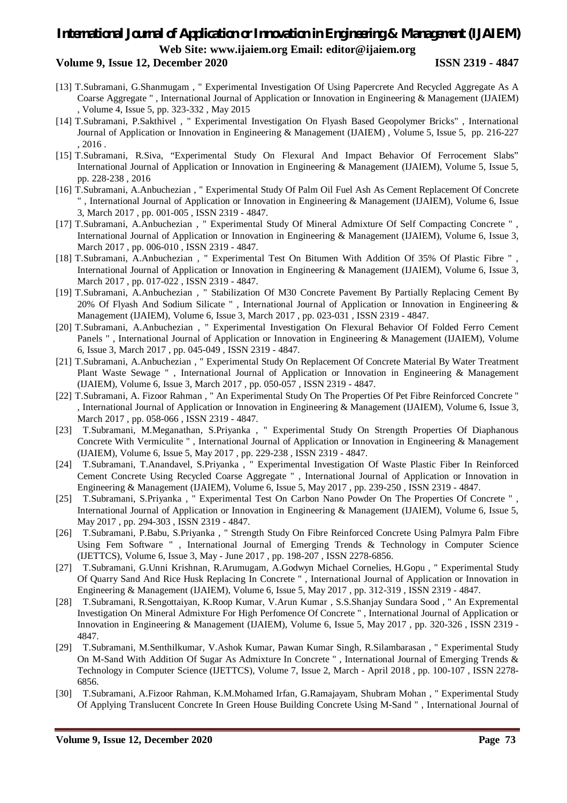### **Volume 9, Issue 12, December 2020 ISSN 2319 - 4847**

- [13] T.Subramani, G.Shanmugam , " Experimental Investigation Of Using Papercrete And Recycled Aggregate As A Coarse Aggregate " , International Journal of Application or Innovation in Engineering & Management (IJAIEM) , Volume 4, Issue 5, pp. 323-332 , May 2015
- [14] T.Subramani, P.Sakthivel , " Experimental Investigation On Flyash Based Geopolymer Bricks" , International Journal of Application or Innovation in Engineering & Management (IJAIEM) , Volume 5, Issue 5, pp. 216-227 , 2016 .
- [15] T.Subramani, R.Siva, "Experimental Study On Flexural And Impact Behavior Of Ferrocement Slabs" International Journal of Application or Innovation in Engineering & Management (IJAIEM), Volume 5, Issue 5, pp. 228-238 , 2016
- [16] T.Subramani, A.Anbuchezian , " Experimental Study Of Palm Oil Fuel Ash As Cement Replacement Of Concrete " , International Journal of Application or Innovation in Engineering & Management (IJAIEM), Volume 6, Issue 3, March 2017 , pp. 001-005 , ISSN 2319 - 4847.
- [17] T.Subramani, A.Anbuchezian , " Experimental Study Of Mineral Admixture Of Self Compacting Concrete " , International Journal of Application or Innovation in Engineering & Management (IJAIEM), Volume 6, Issue 3, March 2017 , pp. 006-010 , ISSN 2319 - 4847.
- [18] T.Subramani, A.Anbuchezian , " Experimental Test On Bitumen With Addition Of 35% Of Plastic Fibre " , International Journal of Application or Innovation in Engineering & Management (IJAIEM), Volume 6, Issue 3, March 2017 , pp. 017-022 , ISSN 2319 - 4847.
- [19] T.Subramani, A.Anbuchezian , " Stabilization Of M30 Concrete Pavement By Partially Replacing Cement By 20% Of Flyash And Sodium Silicate " , International Journal of Application or Innovation in Engineering & Management (IJAIEM), Volume 6, Issue 3, March 2017 , pp. 023-031 , ISSN 2319 - 4847.
- [20] T.Subramani, A.Anbuchezian , " Experimental Investigation On Flexural Behavior Of Folded Ferro Cement Panels " , International Journal of Application or Innovation in Engineering & Management (IJAIEM), Volume 6, Issue 3, March 2017 , pp. 045-049 , ISSN 2319 - 4847.
- [21] T.Subramani, A.Anbuchezian , " Experimental Study On Replacement Of Concrete Material By Water Treatment Plant Waste Sewage " , International Journal of Application or Innovation in Engineering & Management (IJAIEM), Volume 6, Issue 3, March 2017 , pp. 050-057 , ISSN 2319 - 4847.
- [22] T.Subramani, A. Fizoor Rahman , " An Experimental Study On The Properties Of Pet Fibre Reinforced Concrete " , International Journal of Application or Innovation in Engineering & Management (IJAIEM), Volume 6, Issue 3, March 2017, pp. 058-066, ISSN 2319 - 4847.
- [23] T.Subramani, M.Meganathan, S.Priyanka , " Experimental Study On Strength Properties Of Diaphanous Concrete With Vermiculite " , International Journal of Application or Innovation in Engineering & Management (IJAIEM), Volume 6, Issue 5, May 2017 , pp. 229-238 , ISSN 2319 - 4847.
- [24] T.Subramani, T.Anandavel, S.Priyanka , " Experimental Investigation Of Waste Plastic Fiber In Reinforced Cement Concrete Using Recycled Coarse Aggregate " , International Journal of Application or Innovation in Engineering & Management (IJAIEM), Volume 6, Issue 5, May 2017 , pp. 239-250 , ISSN 2319 - 4847.
- [25] T.Subramani, S.Priyanka , " Experimental Test On Carbon Nano Powder On The Properties Of Concrete " , International Journal of Application or Innovation in Engineering & Management (IJAIEM), Volume 6, Issue 5, May 2017 , pp. 294-303 , ISSN 2319 - 4847.
- [26] T.Subramani, P.Babu, S.Priyanka , " Strength Study On Fibre Reinforced Concrete Using Palmyra Palm Fibre Using Fem Software " , International Journal of Emerging Trends & Technology in Computer Science (IJETTCS), Volume 6, Issue 3, May - June 2017 , pp. 198-207 , ISSN 2278-6856.
- [27] T.Subramani, G.Unni Krishnan, R.Arumugam, A.Godwyn Michael Cornelies, H.Gopu , " Experimental Study Of Quarry Sand And Rice Husk Replacing In Concrete " , International Journal of Application or Innovation in Engineering & Management (IJAIEM), Volume 6, Issue 5, May 2017 , pp. 312-319 , ISSN 2319 - 4847.
- [28] T.Subramani, R.Sengottaiyan, K.Roop Kumar, V.Arun Kumar , S.S.Shanjay Sundara Sood , " An Expremental Investigation On Mineral Admixture For High Perfomence Of Concrete " , International Journal of Application or Innovation in Engineering & Management (IJAIEM), Volume 6, Issue 5, May 2017 , pp. 320-326 , ISSN 2319 - 4847.
- [29] T.Subramani, M.Senthilkumar, V.Ashok Kumar, Pawan Kumar Singh, R.Silambarasan , " Experimental Study On M-Sand With Addition Of Sugar As Admixture In Concrete " , International Journal of Emerging Trends & Technology in Computer Science (IJETTCS), Volume 7, Issue 2, March - April 2018 , pp. 100-107 , ISSN 2278- 6856.
- [30] T.Subramani, A.Fizoor Rahman, K.M.Mohamed Irfan, G.Ramajayam, Shubram Mohan , " Experimental Study Of Applying Translucent Concrete In Green House Building Concrete Using M-Sand " , International Journal of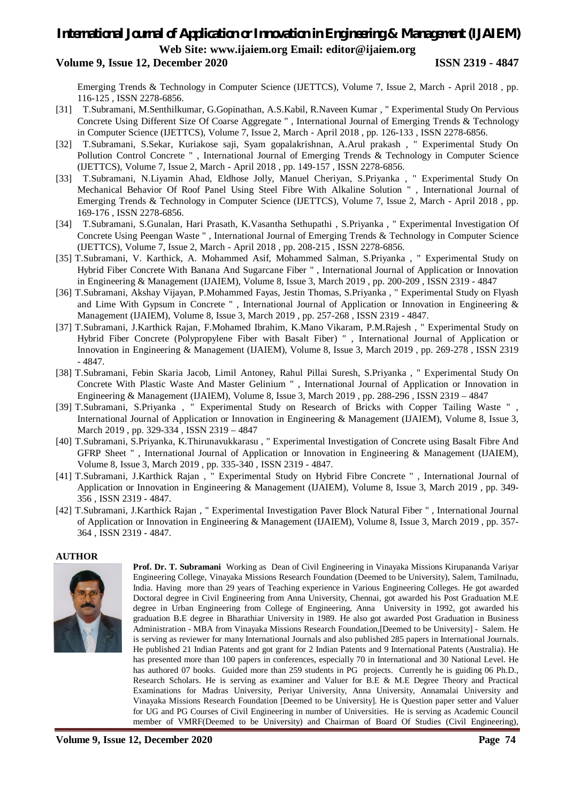### **Volume 9, Issue 12, December 2020 ISSN 2319 - 4847**

Emerging Trends & Technology in Computer Science (IJETTCS), Volume 7, Issue 2, March - April 2018 , pp. 116-125 , ISSN 2278-6856.

- [31] T.Subramani, M.Senthilkumar, G.Gopinathan, A.S.Kabil, R.Naveen Kumar , " Experimental Study On Pervious Concrete Using Different Size Of Coarse Aggregate " , International Journal of Emerging Trends & Technology in Computer Science (IJETTCS), Volume 7, Issue 2, March - April 2018 , pp. 126-133 , ISSN 2278-6856.
- [32] T.Subramani, S.Sekar, Kuriakose saji, Syam gopalakrishnan, A.Arul prakash , " Experimental Study On Pollution Control Concrete " , International Journal of Emerging Trends & Technology in Computer Science (IJETTCS), Volume 7, Issue 2, March - April 2018 , pp. 149-157 , ISSN 2278-6856.
- [33] T.Subramani, N.Liyamin Ahad, Eldhose Jolly, Manuel Cheriyan, S.Priyanka , " Experimental Study On Mechanical Behavior Of Roof Panel Using Steel Fibre With Alkaline Solution " , International Journal of Emerging Trends & Technology in Computer Science (IJETTCS), Volume 7, Issue 2, March - April 2018 , pp. 169-176 , ISSN 2278-6856.
- [34] T.Subramani, S.Gunalan, Hari Prasath, K.Vasantha Sethupathi , S.Priyanka , " Experimental Investigation Of Concrete Using Peengan Waste " , International Journal of Emerging Trends & Technology in Computer Science (IJETTCS), Volume 7, Issue 2, March - April 2018 , pp. 208-215 , ISSN 2278-6856.
- [35] T.Subramani, V. Karthick, A. Mohammed Asif, Mohammed Salman, S.Priyanka , " Experimental Study on Hybrid Fiber Concrete With Banana And Sugarcane Fiber " , International Journal of Application or Innovation in Engineering & Management (IJAIEM), Volume 8, Issue 3, March 2019 , pp. 200-209 , ISSN 2319 - 4847
- [36] T.Subramani, Akshay Vijayan, P.Mohammed Fayas, Jestin Thomas, S.Priyanka , " Experimental Study on Flyash and Lime With Gypsum in Concrete " , International Journal of Application or Innovation in Engineering & Management (IJAIEM), Volume 8, Issue 3, March 2019 , pp. 257-268 , ISSN 2319 - 4847.
- [37] T.Subramani, J.Karthick Rajan, F.Mohamed Ibrahim, K.Mano Vikaram, P.M.Rajesh , " Experimental Study on Hybrid Fiber Concrete (Polypropylene Fiber with Basalt Fiber) " , International Journal of Application or Innovation in Engineering & Management (IJAIEM), Volume 8, Issue 3, March 2019 , pp. 269-278 , ISSN 2319 - 4847.
- [38] T.Subramani, Febin Skaria Jacob, Limil Antoney, Rahul Pillai Suresh, S.Priyanka , " Experimental Study On Concrete With Plastic Waste And Master Gelinium " , International Journal of Application or Innovation in Engineering & Management (IJAIEM), Volume 8, Issue 3, March 2019 , pp. 288-296 , ISSN 2319 – 4847
- [39] T.Subramani, S.Priyanka , " Experimental Study on Research of Bricks with Copper Tailing Waste " , International Journal of Application or Innovation in Engineering & Management (IJAIEM), Volume 8, Issue 3, March 2019 , pp. 329-334 , ISSN 2319 – 4847
- [40] T.Subramani, S.Priyanka, K.Thirunavukkarasu , " Experimental Investigation of Concrete using Basalt Fibre And GFRP Sheet " , International Journal of Application or Innovation in Engineering & Management (IJAIEM), Volume 8, Issue 3, March 2019 , pp. 335-340 , ISSN 2319 - 4847.
- [41] T.Subramani, J.Karthick Rajan , " Experimental Study on Hybrid Fibre Concrete " , International Journal of Application or Innovation in Engineering & Management (IJAIEM), Volume 8, Issue 3, March 2019 , pp. 349- 356 , ISSN 2319 - 4847.
- [42] T.Subramani, J.Karthick Rajan , " Experimental Investigation Paver Block Natural Fiber " , International Journal of Application or Innovation in Engineering & Management (IJAIEM), Volume 8, Issue 3, March 2019 , pp. 357- 364 , ISSN 2319 - 4847.

#### **AUTHOR**



**Prof. Dr. T. Subramani** Working as Dean of Civil Engineering in Vinayaka Missions Kirupananda Variyar Engineering College, Vinayaka Missions Research Foundation (Deemed to be University), Salem, Tamilnadu, India. Having more than 29 years of Teaching experience in Various Engineering Colleges. He got awarded Doctoral degree in Civil Engineering from Anna University, Chennai, got awarded his Post Graduation M.E degree in Urban Engineering from College of Engineering, Anna University in 1992, got awarded his graduation B.E degree in Bharathiar University in 1989. He also got awarded Post Graduation in Business Administration - MBA from Vinayaka Missions Research Foundation,[Deemed to be University] - Salem. He is serving as reviewer for many International Journals and also published 285 papers in International Journals. He published 21 Indian Patents and got grant for 2 Indian Patents and 9 International Patents (Australia). He has presented more than 100 papers in conferences, especially 70 in International and 30 National Level. He has authored 07 books. Guided more than 259 students in PG projects. Currently he is guiding 06 Ph.D., Research Scholars. He is serving as examiner and Valuer for B.E & M.E Degree Theory and Practical Examinations for Madras University, Periyar University, Anna University, Annamalai University and Vinayaka Missions Research Foundation [Deemed to be University]. He is Question paper setter and Valuer for UG and PG Courses of Civil Engineering in number of Universities. He is serving as Academic Council member of VMRF(Deemed to be University) and Chairman of Board Of Studies (Civil Engineering),